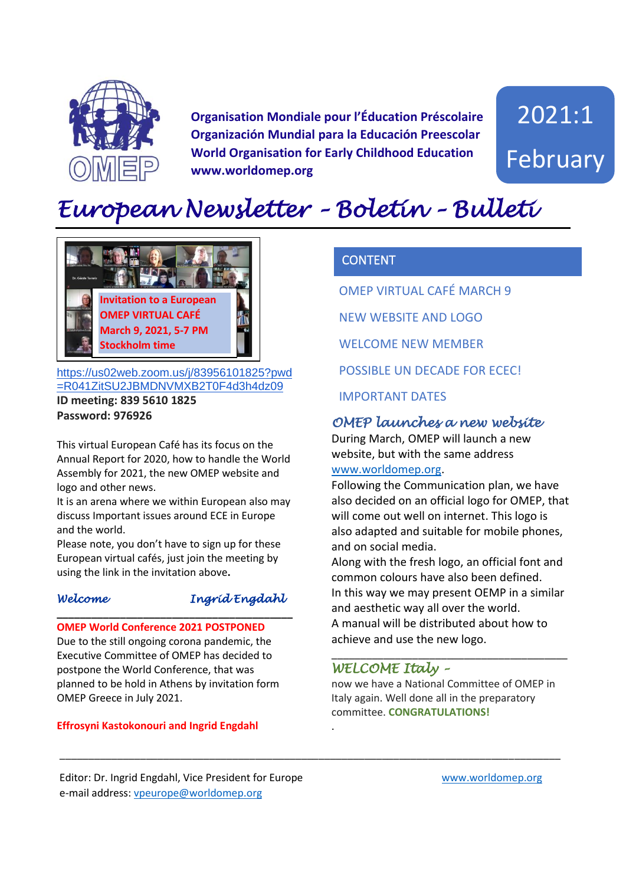

**Organisation Mondiale pour l'Éducation Préscolaire Organización Mundial para la Educación Preescolar World Organisation for Early Childhood Education www.worldomep.org**

2021:1 February

## *European Newsletter – Boletín – Bulleti*  $\overline{E}$



[https://us02web.zoom.us/j/83956101825?pwd](https://us02web.zoom.us/j/83956101825?pwd=R041ZitSU2JBMDNVMXB2T0F4d3h4dz09) [=R041ZitSU2JBMDNVMXB2T0F4d3h4dz09](https://us02web.zoom.us/j/83956101825?pwd=R041ZitSU2JBMDNVMXB2T0F4d3h4dz09)

**ID meeting: 839 5610 1825 Password: 976926**

This virtual European Café has its focus on the Annual Report for 2020, how to handle the World Assembly for 2021, the new OMEP website and logo and other news.

It is an arena where we within European also may discuss Important issues around ECE in Europe and the world.

Please note, you don't have to sign up for these European virtual cafés, just join the meeting by using the link in the invitation above**.** 

#### *Welcome Ingrid Engdahl*

**OMEP World Conference 2021 POSTPONED**  Due to the still ongoing corona pandemic, the Executive Committee of OMEP has decided to postpone the World Conference, that was planned to be hold in Athens by invitation form OMEP Greece in July 2021.

**\_\_\_\_\_\_\_\_\_\_\_\_\_\_\_\_\_\_\_\_\_\_\_\_\_\_\_\_\_\_\_\_\_\_\_\_\_\_\_\_\_**

#### **Effrosyni Kastokonouri and Ingrid Engdahl**

## **CONTENT**

OMEP VIRTUAL CAFÉ MARCH 9

NEW WEBSITE AND LOGO

WELCOME NEW MEMBER

POSSIBLE UN DECADE FOR ECEC!

IMPORTANT DATES

## *OMEP launches a new website*

During March, OMEP will launch a new website, but with the same address [www.worldomep.org.](http://www.worldomep.org/)

Following the Communication plan, we have also decided on an official logo for OMEP, that will come out well on internet. This logo is also adapted and suitable for mobile phones, and on social media.

Along with the fresh logo, an official font and common colours have also been defined. In this way we may present OEMP in a similar and aesthetic way all over the world. A manual will be distributed about how to achieve and use the new logo.

\_\_\_\_\_\_\_\_\_\_\_\_\_\_\_\_\_\_\_\_\_\_\_\_\_\_\_\_\_\_\_\_\_\_\_\_\_\_\_\_\_

#### *WELCOME Italy –*

.

\_\_\_\_\_\_\_\_\_\_\_\_\_\_\_\_\_\_\_\_\_\_\_\_\_\_\_\_\_\_\_\_\_\_\_\_\_\_\_\_\_\_\_\_\_\_\_\_\_\_\_\_\_\_\_\_\_\_\_\_\_\_\_\_\_\_\_\_\_\_\_\_\_\_\_\_\_\_\_\_\_\_\_\_\_\_\_

now we have a National Committee of OMEP in Italy again. Well done all in the preparatory committee. **CONGRATULATIONS!**

Editor: Dr. Ingrid Engdahl, Vice President for Europe [www.worldomep.org](http://www.worldomep.org/)  e-mail address: [vpeurope@worldomep.org](mailto:vpeurope@worldomep.org)